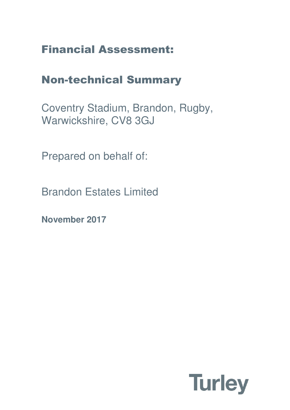# Financial Assessment:

## Non-technical Summary

Coventry Stadium, Brandon, Rugby, Warwickshire, CV8 3GJ

Prepared on behalf of:

Brandon Estates Limited

**November 2017**

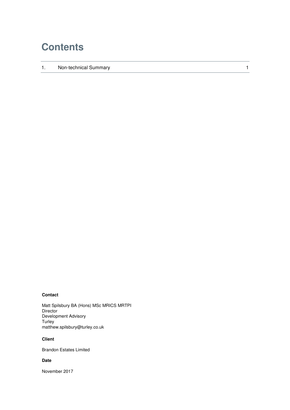## **Contents**

1. Non-technical Summary 1 and 1 and 1 and 1 and 1 and 1 and 1 and 1 and 1 and 1 and 1 and 1 and 1 and 1 and 1 and 1 and 1 and 1 and 1 and 1 and 1 and 1 and 1 and 1 and 1 and 1 and 1 and 1 and 1 and 1 and 1 and 1 and 1 and

### **Contact**

Matt Spilsbury BA (Hons) MSc MRICS MRTPI **Director** Development Advisory Turley matthew.spilsbury@turley.co.uk

#### **Client**

Brandon Estates Limited

#### **Date**

November 2017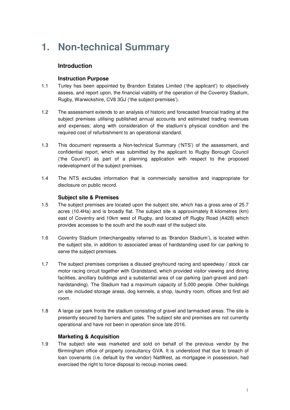## **1. Non-technical Summary**

## **Introduction**

## **Instruction Purpose**

- 1.1 Turley has been appointed by Brandon Estates Limited ('the applicant') to objectively assess, and report upon, the financial viability of the operation of the Coventry Stadium, Rugby, Warwickshire, CV8 3GJ ('the subject premises').
- 1.2 The assessment extends to an analysis of historic and forecasted financial trading at the subject premises utilising published annual accounts and estimated trading revenues and expenses; along with consideration of the stadium's physical condition and the required cost of refurbishment to an operational standard.
- 1.3 This document represents a Non-technical Summary ('NTS') of the assessment, and confidential report, which was submitted by the applicant to Rugby Borough Council ('the Council') as part of a planning application with respect to the proposed redevelopment of the subject premises.
- 1.4 The NTS excludes information that is commercially sensitive and inappropriate for disclosure on public record.

## **Subject site & Premises**

- 1.5 The subject premises are located upon the subject site, which has a gross area of 25.7 acres (10.4Ha) and is broadly flat. The subject site is approximately 8 kilometres (km) east of Coventry and 10km west of Rugby, and located off Rugby Road (A428) which provides accesses to the south and the south east of the subject site.
- 1.6 Coventry Stadium (interchangeably referred to as 'Brandon Stadium'), is located within the subject site, in addition to associated areas of hardstanding used for car parking to serve the subject premises.
- 1.7 The subject premises comprises a disused greyhound racing and speedway / stock car motor racing circuit together with Grandstand, which provided visitor viewing and dining facilities, ancillary buildings and a substantial area of car parking (part-gravel and parthardstanding). The Stadium had a maximum capacity of 5,000 people. Other buildings on site included storage areas, dog kennels, a shop, laundry room, offices and first aid room.
- 1.8 A large car park fronts the stadium consisting of gravel and tarmacked areas. The site is presently secured by barriers and gates. The subject site and premises are not currently operational and have not been in operation since late 2016.

## **Marketing & Acquisition**

1.9 The subject site was marketed and sold on behalf of the previous vendor by the Birmingham office of property consultancy GVA. It is understood that due to breach of loan covenants (i.e. default by the vendor) NatWest, as mortgagee in possession, had exercised the right to force disposal to recoup monies owed.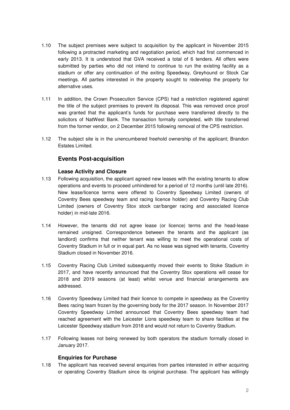- 1.10 The subject premises were subject to acquisition by the applicant in November 2015 following a protracted marketing and negotiation period, which had first commenced in early 2013. It is understood that GVA received a total of 6 tenders. All offers were submitted by parties who did not intend to continue to run the existing facility as a stadium or offer any continuation of the exiting Speedway, Greyhound or Stock Car meetings. All parties interested in the property sought to redevelop the property for alternative uses.
- 1.11 In addition, the Crown Prosecution Service (CPS) had a restriction registered against the title of the subject premises to prevent its disposal. This was removed once proof was granted that the applicant's funds for purchase were transferred directly to the solicitors of NatWest Bank. The transaction formally completed, with title transferred from the former vendor, on 2 December 2015 following removal of the CPS restriction.
- 1.12 The subject site is in the unencumbered freehold ownership of the applicant; Brandon Estates Limited.

## **Events Post-acquisition**

## **Lease Activity and Closure**

- 1.13 Following acquisition, the applicant agreed new leases with the existing tenants to allow operations and events to proceed unhindered for a period of 12 months (until late 2016). New lease/licence terms were offered to Coventry Speedway Limited (owners of Coventry Bees speedway team and racing licence holder) and Coventry Racing Club Limited (owners of Coventry Stox stock car/banger racing and associated licence holder) in mid-late 2016.
- 1.14 However, the tenants did not agree lease (or licence) terms and the head-lease remained unsigned. Correspondence between the tenants and the applicant (as landlord) confirms that neither tenant was willing to meet the operational costs of Coventry Stadium in full or in equal part. As no lease was signed with tenants, Coventry Stadium closed in November 2016.
- 1.15 Coventry Racing Club Limited subsequently moved their events to Stoke Stadium in 2017, and have recently announced that the Coventry Stox operations will cease for 2018 and 2019 seasons (at least) whilst venue and financial arrangements are addressed.
- 1.16 Coventry Speedway Limited had their licence to compete in speedway as the Coventry Bees racing team frozen by the governing body for the 2017 season. In November 2017 Coventry Speedway Limited announced that Coventry Bees speedway team had reached agreement with the Leicester Lions speedway team to share facilities at the Leicester Speedway stadium from 2018 and would not return to Coventry Stadium.
- 1.17 Following leases not being renewed by both operators the stadium formally closed in January 2017.

## **Enquiries for Purchase**

1.18 The applicant has received several enquiries from parties interested in either acquiring or operating Coventry Stadium since its original purchase. The applicant has willingly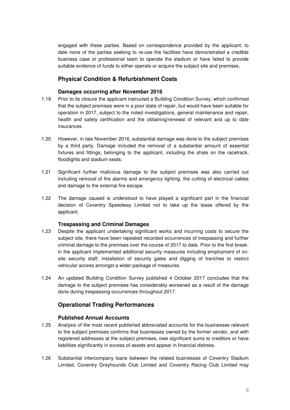engaged with these parties. Based on correspondence provided by the applicant, to date none of the parties seeking to re-use the facilities have demonstrated a credible business case or professional team to operate the stadium or have failed to provide suitable evidence of funds to either operate or acquire the subject site and premises.

## **Physical Condition & Refurbishment Costs**

### **Damages occurring after November 2016**

- 1.19 Prior to its closure the applicant instructed a Building Condition Survey, which confirmed that the subject premises were in a poor state of repair, but would have been suitable for operation in 2017, subject to the noted investigations, general maintenance and repair, health and safety certification and the obtaining/renewal of relevant and up to date insurances.
- 1.20 However, in late November 2016, substantial damage was done to the subject premises by a third party. Damage included the removal of a substantial amount of essential fixtures and fittings, belonging to the applicant, including the shale on the racetrack, floodlights and stadium seats.
- 1.21 Significant further malicious damage to the subject premises was also carried out including removal of fire alarms and emergency lighting, the cutting of electrical cables and damage to the external fire escape.
- 1.22 The damage caused is understood to have played a significant part in the financial decision of Coventry Speedway Limited not to take up the lease offered by the applicant.

#### **Trespassing and Criminal Damages**

- 1.23 Despite the applicant undertaking significant works and incurring costs to secure the subject site, there have been repeated recorded occurrences of trespassing and further criminal damage to the premises over the course of 2017 to date. Prior to the first breakin the applicant implemented additional security measures including employment of onsite security staff, installation of security gates and digging of trenches to restrict vehicular access amongst a wider package of measures.
- 1.24 An updated Building Condition Survey published 4 October 2017 concludes that the damage to the subject premises has considerably worsened as a result of the damage done during trespassing occurrences throughout 2017.

## **Operational Trading Performances**

## **Published Annual Accounts**

- 1.25 Analysis of the most recent published abbreviated accounts for the businesses relevant to the subject premises confirms that businesses owned by the former vendor, and with registered addresses at the subject premises, owe significant sums to creditors or have liabilities significantly in excess of assets and appear in financial distress.
- 1.26 Substantial intercompany loans between the related businesses of Coventry Stadium Limited, Coventry Greyhounds Club Limited and Coventry Racing Club Limited may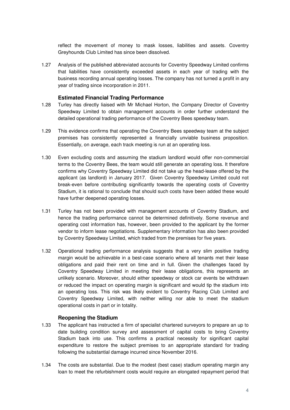reflect the movement of money to mask losses, liabilities and assets. Coventry Greyhounds Club Limited has since been dissolved.

1.27 Analysis of the published abbreviated accounts for Coventry Speedway Limited confirms that liabilities have consistently exceeded assets in each year of trading with the business recording annual operating losses. The company has not turned a profit in any year of trading since incorporation in 2011.

### **Estimated Financial Trading Performance**

- 1.28 Turley has directly liaised with Mr Michael Horton, the Company Director of Coventry Speedway Limited to obtain management accounts in order further understand the detailed operational trading performance of the Coventry Bees speedway team.
- 1.29 This evidence confirms that operating the Coventry Bees speedway team at the subject premises has consistently represented a financially unviable business proposition. Essentially, on average, each track meeting is run at an operating loss.
- 1.30 Even excluding costs and assuming the stadium landlord would offer non-commercial terms to the Coventry Bees, the team would still generate an operating loss. It therefore confirms why Coventry Speedway Limited did not take up the head-lease offered by the applicant (as landlord) in January 2017. Given Coventry Speedway Limited could not break-even before contributing significantly towards the operating costs of Coventry Stadium, it is rational to conclude that should such costs have been added these would have further deepened operating losses.
- 1.31 Turley has not been provided with management accounts of Coventry Stadium, and hence the trading performance cannot be determined definitively. Some revenue and operating cost information has, however, been provided to the applicant by the former vendor to inform lease negotiations. Supplementary information has also been provided by Coventry Speedway Limited, which traded from the premises for five years.
- 1.32 Operational trading performance analysis suggests that a very slim positive trading margin would be achievable in a best-case scenario where all tenants met their lease obligations and paid their rent on time and in full. Given the challenges faced by Coventry Speedway Limited in meeting their lease obligations, this represents an unlikely scenario. Moreover, should either speedway or stock car events be withdrawn or reduced the impact on operating margin is significant and would tip the stadium into an operating loss. This risk was likely evident to Coventry Racing Club Limited and Coventry Speedway Limited, with neither willing nor able to meet the stadium operational costs in part or in totality.

#### **Reopening the Stadium**

- 1.33 The applicant has instructed a firm of specialist chartered surveyors to prepare an up to date building condition survey and assessment of capital costs to bring Coventry Stadium back into use. This confirms a practical necessity for significant capital expenditure to restore the subject premises to an appropriate standard for trading following the substantial damage incurred since November 2016.
- 1.34 The costs are substantial. Due to the modest (best case) stadium operating margin any loan to meet the refurbishment costs would require an elongated repayment period that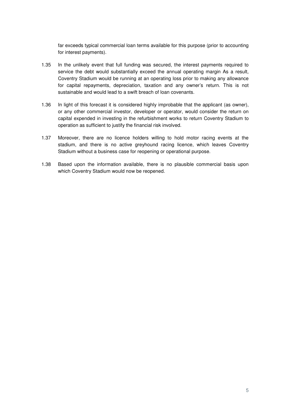far exceeds typical commercial loan terms available for this purpose (prior to accounting for interest payments).

- 1.35 In the unlikely event that full funding was secured, the interest payments required to service the debt would substantially exceed the annual operating margin As a result, Coventry Stadium would be running at an operating loss prior to making any allowance for capital repayments, depreciation, taxation and any owner's return. This is not sustainable and would lead to a swift breach of loan covenants.
- 1.36 In light of this forecast it is considered highly improbable that the applicant (as owner), or any other commercial investor, developer or operator, would consider the return on capital expended in investing in the refurbishment works to return Coventry Stadium to operation as sufficient to justify the financial risk involved.
- 1.37 Moreover, there are no licence holders willing to hold motor racing events at the stadium, and there is no active greyhound racing licence, which leaves Coventry Stadium without a business case for reopening or operational purpose.
- 1.38 Based upon the information available, there is no plausible commercial basis upon which Coventry Stadium would now be reopened.